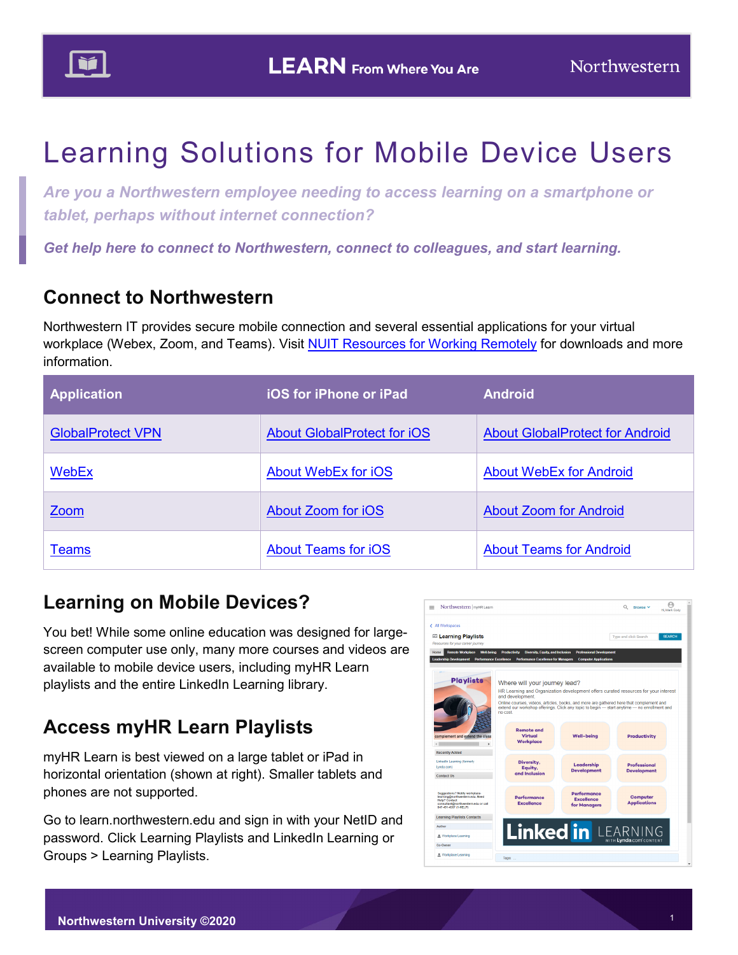

# Learning Solutions for Mobile Device Users

*Are you a Northwestern employee needing to access learning on a smartphone or tablet, perhaps without internet connection?*

*Get help here to connect to Northwestern, connect to colleagues, and start learning.*

### **Connect to Northwestern**

Northwestern IT provides secure mobile connection and several essential applications for your virtual workplace (Webex, Zoom, and Teams). Visit [NUIT Resources for Working Remotely](https://www.it.northwestern.edu/remote/index.html#connect) for downloads and more information.

| <b>Application</b>       | <b>iOS for iPhone or iPad</b>      | <b>Android</b>                         |
|--------------------------|------------------------------------|----------------------------------------|
| <b>GlobalProtect VPN</b> | <b>About GlobalProtect for iOS</b> | <b>About GlobalProtect for Android</b> |
| <b>WebEx</b>             | <b>About WebEx for iOS</b>         | <b>About WebEx for Android</b>         |
| Zoom                     | About Zoom for iOS                 | <b>About Zoom for Android</b>          |
| <b>Teams</b>             | <b>About Teams for iOS</b>         | <b>About Teams for Android</b>         |

#### **Learning on Mobile Devices?**

You bet! While some online education was designed for largescreen computer use only, many more courses and videos are available to mobile device users, including myHR Learn playlists and the entire LinkedIn Learning library.

## **Access myHR Learn Playlists**

myHR Learn is best viewed on a large tablet or iPad in horizontal orientation (shown at right). Smaller tablets and phones are not supported.

Go to learn.northwestern.edu and sign in with your NetID and password. Click Learning Playlists and LinkedIn Learning or Groups > Learning Playlists.